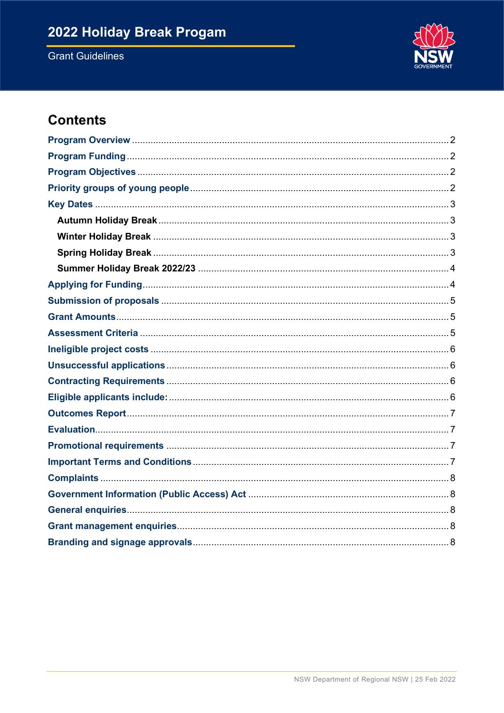# 2022 Holiday Break Progam

**Grant Guidelines** 



## **Contents**

<span id="page-0-0"></span>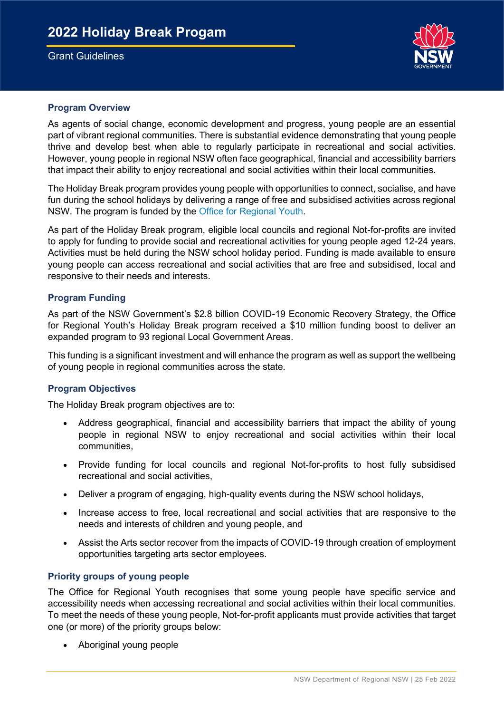## Grant Guidelines



#### **Program Overview**

 As agents of social change, economic development and progress, young people are an essential part of vibrant regional communities. There is substantial evidence demonstrating that young people thrive and develop best when able to regularly participate in recreational and social activities. However, young people in regional NSW often face geographical, financial and accessibility barriers that impact their ability to enjoy recreational and social activities within their local communities.

 The Holiday Break program provides young people with opportunities to connect, socialise, and have fun during the school holidays by delivering a range of free and subsidised activities across regional NSW. The program is funded by the [Office for Regional Youth.](https://www.regional.nsw.gov.au/our-work/pwa-rd/office-for-regional-youth)

 As part of the Holiday Break program, eligible local councils and regional Not-for-profits are invited to apply for funding to provide social and recreational activities for young people aged 12-24 years. Activities must be held during the NSW school holiday period. Funding is made available to ensure young people can access recreational and social activities that are free and subsidised, local and responsive to their needs and interests.

## <span id="page-1-0"></span> **Program Funding**

As part of the NSW Government's \$2.8 billion COVID-19 Economic Recovery Strategy, the Office for Regional Youth's Holiday Break program received a \$10 million funding boost to deliver an expanded program to 93 regional Local Government Areas.

 This funding is a significant investment and will enhance the program as well as support the wellbeing of young people in regional communities across the state.

## <span id="page-1-1"></span>**Program Objectives**

The Holiday Break program objectives are to:

- • Address geographical, financial and accessibility barriers that impact the ability of young people in regional NSW to enjoy recreational and social activities within their local communities,
- • Provide funding for local councils and regional Not-for-profits to host fully subsidised recreational and social activities,
- Deliver a program of engaging, high-quality events during the NSW school holidays,
- • Increase access to free, local recreational and social activities that are responsive to the needs and interests of children and young people, and
- • Assist the Arts sector recover from the impacts of COVID-19 through creation of employment opportunities targeting arts sector employees.

#### <span id="page-1-2"></span> **Priority groups of young people**

 The Office for Regional Youth recognises that some young people have specific service and accessibility needs when accessing recreational and social activities within their local communities. To meet the needs of these young people, Not-for-profit applicants must provide activities that target one (or more) of the priority groups below:

• Aboriginal young people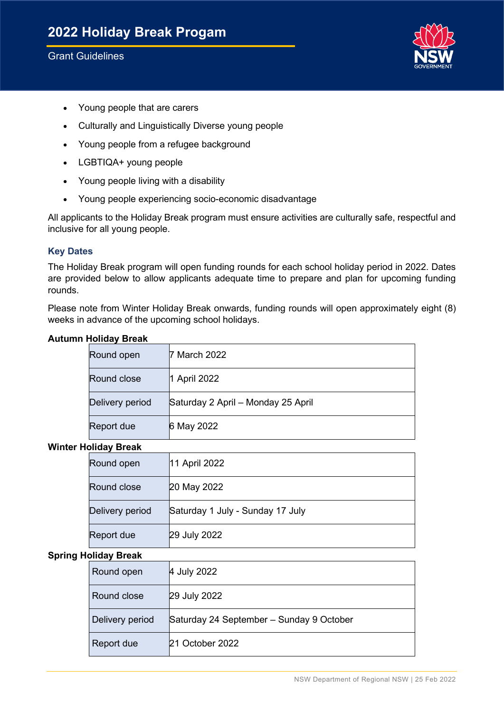

- Young people that are carers
- Culturally and Linguistically Diverse young people
- Young people from a refugee background
- LGBTIQA+ young people
- Young people living with a disability
- Young people experiencing socio-economic disadvantage

 All applicants to the Holiday Break program must ensure activities are culturally safe, respectful and inclusive for all young people.

## <span id="page-2-0"></span>**Key Dates**

 The Holiday Break program will open funding rounds for each school holiday period in 2022. Dates are provided below to allow applicants adequate time to prepare and plan for upcoming funding rounds.

 Please note from Winter Holiday Break onwards, funding rounds will open approximately eight (8) weeks in advance of the upcoming school holidays.

#### <span id="page-2-1"></span>**Autumn Holiday Break**

| Round open      | 7 March 2022                       |
|-----------------|------------------------------------|
| Round close     | 1 April 2022                       |
| Delivery period | Saturday 2 April - Monday 25 April |
| Report due      | 6 May 2022                         |

#### <span id="page-2-2"></span>**Winter Holiday Break**

| Round open      | 11 April 2022                    |
|-----------------|----------------------------------|
| Round close     | 20 May 2022                      |
| Delivery period | Saturday 1 July - Sunday 17 July |
| Report due      | 29 July 2022                     |

#### <span id="page-2-3"></span> **Spring Holiday Break**

| Round open      | 4 July 2022                              |
|-----------------|------------------------------------------|
| Round close     | 29 July 2022                             |
| Delivery period | Saturday 24 September - Sunday 9 October |
| Report due      | 21 October 2022                          |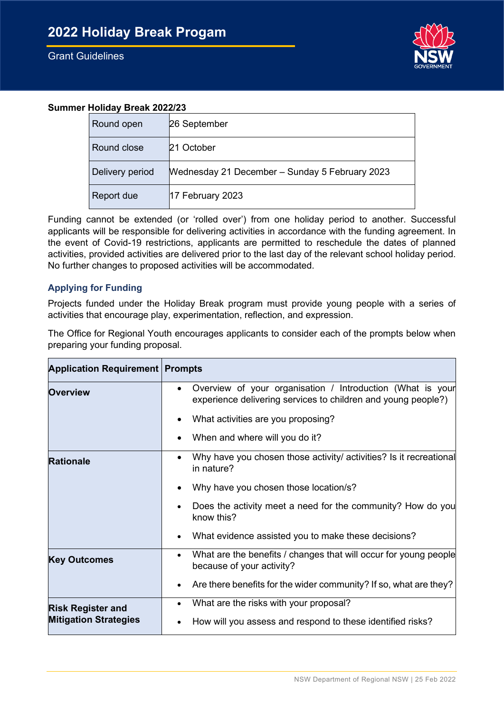

## <span id="page-3-0"></span>**Summer Holiday Break 2022/23**

| Round open      | 26 September                                   |
|-----------------|------------------------------------------------|
| Round close     | l21 October                                    |
| Delivery period | Mednesday 21 December - Sunday 5 February 2023 |
| Report due      | $ 17$ February 2023                            |

 Funding cannot be extended (or 'rolled over') from one holiday period to another. Successful applicants will be responsible for delivering activities in accordance with the funding agreement. In the event of Covid-19 restrictions, applicants are permitted to reschedule the dates of planned activities, provided activities are delivered prior to the last day of the relevant school holiday period. No further changes to proposed activities will be accommodated.

## <span id="page-3-1"></span>**Applying for Funding**

 Projects funded under the Holiday Break program must provide young people with a series of activities that encourage play, experimentation, reflection, and expression.

 The Office for Regional Youth encourages applicants to consider each of the prompts below when preparing your funding proposal.

| <b>Application Requirement   Prompts</b> |                                                                                                                                          |  |  |
|------------------------------------------|------------------------------------------------------------------------------------------------------------------------------------------|--|--|
| <b>Overview</b>                          | Overview of your organisation / Introduction (What is your<br>$\bullet$<br>experience delivering services to children and young people?) |  |  |
|                                          | What activities are you proposing?                                                                                                       |  |  |
|                                          | When and where will you do it?                                                                                                           |  |  |
| <b>Rationale</b>                         | Why have you chosen those activity/ activities? Is it recreational<br>in nature?                                                         |  |  |
|                                          | Why have you chosen those location/s?                                                                                                    |  |  |
|                                          | Does the activity meet a need for the community? How do you<br>know this?                                                                |  |  |
|                                          | What evidence assisted you to make these decisions?                                                                                      |  |  |
| <b>Key Outcomes</b>                      | What are the benefits / changes that will occur for young people<br>$\bullet$<br>because of your activity?                               |  |  |
|                                          | Are there benefits for the wider community? If so, what are they?                                                                        |  |  |
| <b>Risk Register and</b>                 | What are the risks with your proposal?<br>٠                                                                                              |  |  |
| <b>Mitigation Strategies</b>             | How will you assess and respond to these identified risks?                                                                               |  |  |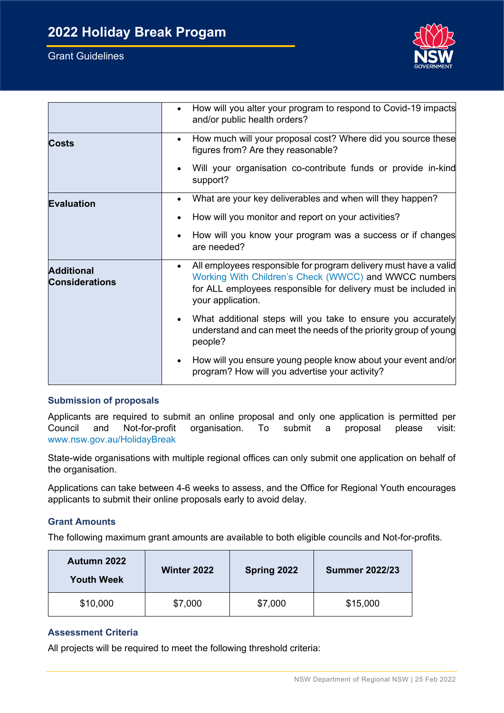

|                                            | How will you alter your program to respond to Covid-19 impacts<br>and/or public health orders?                                                                                                                   |
|--------------------------------------------|------------------------------------------------------------------------------------------------------------------------------------------------------------------------------------------------------------------|
| Costs                                      | How much will your proposal cost? Where did you source these<br>figures from? Are they reasonable?                                                                                                               |
|                                            | Will your organisation co-contribute funds or provide in-kind<br>support?                                                                                                                                        |
| <b>Evaluation</b>                          | What are your key deliverables and when will they happen?                                                                                                                                                        |
|                                            | How will you monitor and report on your activities?                                                                                                                                                              |
|                                            | How will you know your program was a success or if changes<br>are needed?                                                                                                                                        |
| <b>Additional</b><br><b>Considerations</b> | All employees responsible for program delivery must have a valid<br>Working With Children's Check (WWCC) and WWCC numbers<br>for ALL employees responsible for delivery must be included in<br>your application. |
|                                            | What additional steps will you take to ensure you accurately<br>understand and can meet the needs of the priority group of young<br>people?                                                                      |
|                                            | How will you ensure young people know about your event and/or<br>program? How will you advertise your activity?                                                                                                  |

## <span id="page-4-0"></span> **Submission of proposals**

 Applicants are required to submit an online proposal and only one application is permitted per Council and Not-for-profit organisation. To submit a proposal please visit: [www.nsw.gov.au/HolidayBreak](http://www.nsw.gov.au/HolidayBreak) 

 State-wide organisations with multiple regional offices can only submit one application on behalf of the organisation.

 Applications can take between 4-6 weeks to assess, and the Office for Regional Youth encourages applicants to submit their online proposals early to avoid delay.

## <span id="page-4-1"></span>**Grant Amounts**

The following maximum grant amounts are available to both eligible councils and Not-for-profits.

| Autumn 2022<br><b>Youth Week</b> | <b>Winter 2022</b> | Spring 2022 | <b>Summer 2022/23</b> |
|----------------------------------|--------------------|-------------|-----------------------|
| \$10,000                         | \$7,000            | \$7,000     | \$15,000              |

## <span id="page-4-2"></span>**Assessment Criteria**

All projects will be required to meet the following threshold criteria: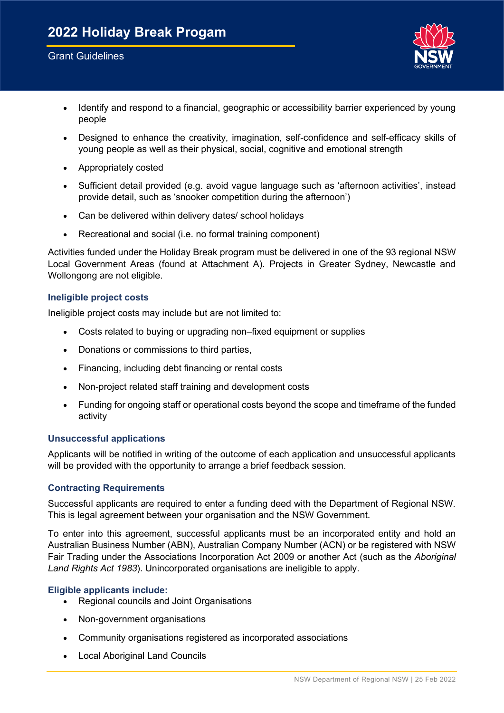

- • Identify and respond to a financial, geographic or accessibility barrier experienced by young people
- • Designed to enhance the creativity, imagination, self-confidence and self-efficacy skills of young people as well as their physical, social, cognitive and emotional strength
- Appropriately costed
- • Sufficient detail provided (e.g. avoid vague language such as 'afternoon activities', instead provide detail, such as 'snooker competition during the afternoon')
- Can be delivered within delivery dates/ school holidays
- Recreational and social (i.e. no formal training component)

 Activities funded under the Holiday Break program must be delivered in one of the 93 regional NSW Local Government Areas (found at Attachment A). Projects in Greater Sydney, Newcastle and Wollongong are not eligible.

## <span id="page-5-0"></span>**Ineligible project costs**

Ineligible project costs may include but are not limited to:

- Costs related to buying or upgrading non–fixed equipment or supplies
- Donations or commissions to third parties,
- Financing, including debt financing or rental costs
- Non-project related staff training and development costs
- • Funding for ongoing staff or operational costs beyond the scope and timeframe of the funded activity

## <span id="page-5-1"></span>**Unsuccessful applications**

 Applicants will be notified in writing of the outcome of each application and unsuccessful applicants will be provided with the opportunity to arrange a brief feedback session.

## <span id="page-5-2"></span>**Contracting Requirements**

 Successful applicants are required to enter a funding deed with the Department of Regional NSW. This is legal agreement between your organisation and the NSW Government.

 To enter into this agreement, successful applicants must be an incorporated entity and hold an Australian Business Number (ABN), Australian Company Number (ACN) or be registered with NSW Fair Trading under the Associations Incorporation Act 2009 or another Act (such as the *Aboriginal Land Rights Act 1983*). Unincorporated organisations are ineligible to apply.

## <span id="page-5-3"></span> **Eligible applicants include:**

- Regional councils and Joint Organisations
- Non-government organisations
- Community organisations registered as incorporated associations
- Local Aboriginal Land Councils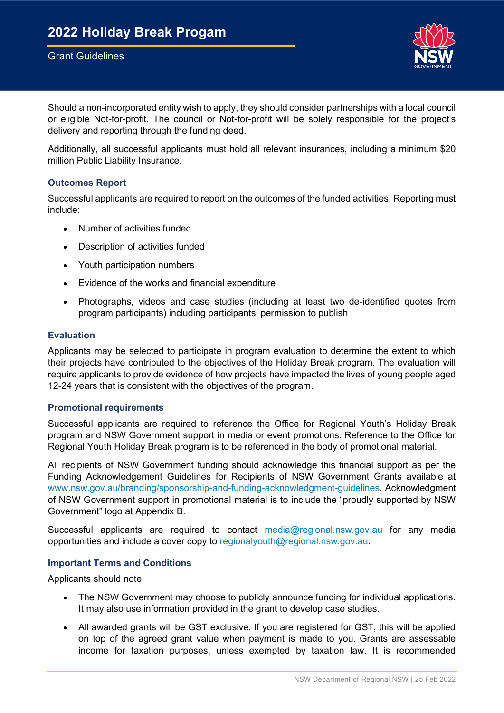## Grant Guidelines



 Should a non-incorporated entity wish to apply, they should consider partnerships with a local council or eligible Not-for-profit. The council or Not-for-profit will be solely responsible for the project's delivery and reporting through the funding deed.

 Additionally, all successful applicants must hold all relevant insurances, including a minimum \$20 million Public Liability Insurance.

#### <span id="page-6-0"></span>**Outcomes Report**

 Successful applicants are required to report on the outcomes of the funded activities. Reporting must include:

- Number of activities funded
- Description of activities funded
- Youth participation numbers
- Evidence of the works and financial expenditure
- • Photographs, videos and case studies (including at least two de-identified quotes from program participants) including participants' permission to publish

#### <span id="page-6-1"></span>**Evaluation**

 Applicants may be selected to participate in program evaluation to determine the extent to which their projects have contributed to the objectives of the Holiday Break program. The evaluation will require applicants to provide evidence of how projects have impacted the lives of young people aged 12-24 years that is consistent with the objectives of the program.

## <span id="page-6-2"></span> **Promotional requirements**

 Successful applicants are required to reference the Office for Regional Youth's Holiday Break program and NSW Government support in media or event promotions. Reference to the Office for Regional Youth Holiday Break program is to be referenced in the body of promotional material.

 All recipients of NSW Government funding should acknowledge this financial support as per the of NSW Government support in promotional material is to include the "proudly supported by NSW Government" logo at Appendix B. Funding Acknowledgement Guidelines for Recipients of NSW Government Grants available at [www.nsw.gov.au/branding/sponsorship-and-funding-acknowledgment-guidelines.](http://www.nsw.gov.au/branding/sponsorship-and-funding-acknowledgment-guidelines) Acknowledgment

 opportunities and include a cover copy to [regionalyouth@regional.nsw.gov.au.](mailto:regionalyouth@regional.nsw.gov.au) Successful applicants are required to contact [media@regional.nsw.gov.au](mailto:media@regional.nsw.gov.au) for any media

#### <span id="page-6-3"></span>**Important Terms and Conditions**

Applicants should note:

- • The NSW Government may choose to publicly announce funding for individual applications. It may also use information provided in the grant to develop case studies.
- • All awarded grants will be GST exclusive. If you are registered for GST, this will be applied on top of the agreed grant value when payment is made to you. Grants are assessable income for taxation purposes, unless exempted by taxation law. It is recommended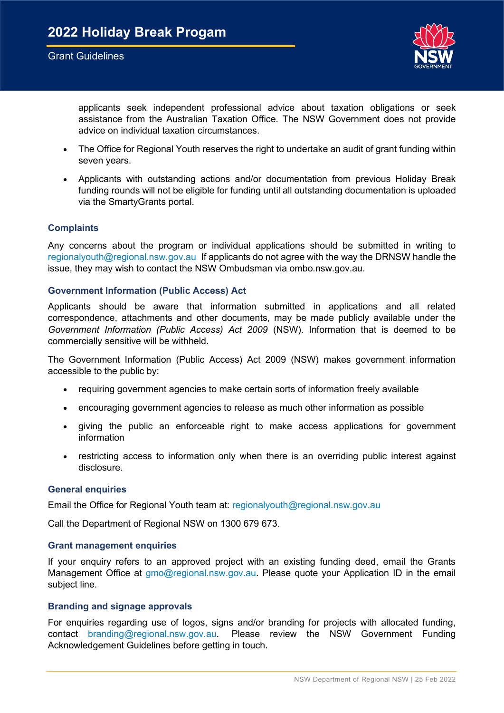

 applicants seek independent professional advice about taxation obligations or seek assistance from the Australian Taxation Office. The NSW Government does not provide advice on individual taxation circumstances.

- • The Office for Regional Youth reserves the right to undertake an audit of grant funding within seven years.
- • Applicants with outstanding actions and/or documentation from previous Holiday Break funding rounds will not be eligible for funding until all outstanding documentation is uploaded via the SmartyGrants portal.

#### <span id="page-7-0"></span>**Complaints**

 Any concerns about the program or individual applications should be submitted in writing to [regionalyouth@regional.nsw.gov.au](mailto:regionalyouth@regional.nsw.gov.au) If applicants do not agree with the way the DRNSW handle the issue, they may wish to contact the NSW Ombudsman via ombo.nsw.gov.au.

## <span id="page-7-1"></span> **Government Information (Public Access) Act**

 Applicants should be aware that information submitted in applications and all related correspondence, attachments and other documents, may be made publicly available under the *Government Information (Public Access) Act 2009* (NSW). Information that is deemed to be commercially sensitive will be withheld.

 The Government Information (Public Access) Act 2009 (NSW) makes government information accessible to the public by:

- requiring government agencies to make certain sorts of information freely available
- encouraging government agencies to release as much other information as possible
- • giving the public an enforceable right to make access applications for government information
- • restricting access to information only when there is an overriding public interest against disclosure.

#### <span id="page-7-2"></span> **General enquiries**

Email the Office for Regional Youth team at: [regionalyouth@regional.nsw.gov.au](mailto:regionalyouth@regional.nsw.gov.au) 

Call the Department of Regional NSW on 1300 679 673.

#### <span id="page-7-3"></span> **Grant management enquiries**

 If your enquiry refers to an approved project with an existing funding deed, email the Grants Management Office at [gmo@regional.nsw.gov.au.](mailto:gmo@regional.nsw.gov.au) Please quote your Application ID in the email subject line.

#### <span id="page-7-4"></span> **Branding and signage approvals**

 For enquiries regarding use of logos, signs and/or branding for projects with allocated funding, contact [branding@regional.nsw.gov.au.](mailto:branding@regional.nsw.gov.au) Please review the NSW Government Funding Acknowledgement Guidelines before getting in touch.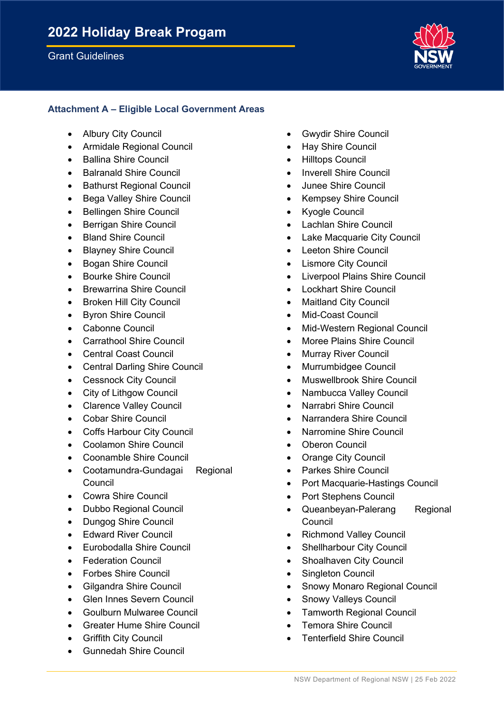

## **Attachment A – Eligible Local Government Areas**

- **Albury City Council**
- Armidale Regional Council
- Ballina Shire Council
- Balranald Shire Council
- Bathurst Regional Council
- Bega Valley Shire Council
- Bellingen Shire Council
- Berrigan Shire Council
- Bland Shire Council
- Blayney Shire Council
- Bogan Shire Council
- Bourke Shire Council
- Brewarrina Shire Council
- Broken Hill City Council
- Byron Shire Council
- Cabonne Council
- Carrathool Shire Council
- Central Coast Council
- Central Darling Shire Council
- Cessnock City Council
- City of Lithgow Council
- Clarence Valley Council
- Cobar Shire Council
- Coffs Harbour City Council
- Coolamon Shire Council
- Coonamble Shire Council
- Cootamundra-Gundagai Regional Council
- Cowra Shire Council
- Dubbo Regional Council
- Dungog Shire Council
- Edward River Council
- Eurobodalla Shire Council
- **Federation Council**
- Forbes Shire Council
- Gilgandra Shire Council
- Glen Innes Severn Council
- Goulburn Mulwaree Council
- Greater Hume Shire Council
- Griffith City Council
- Gunnedah Shire Council
- Gwydir Shire Council
- Hay Shire Council
- Hilltops Council
- Inverell Shire Council
- Junee Shire Council
- Kempsey Shire Council
- **Kvogle Council**
- Lachlan Shire Council
- Lake Macquarie City Council
- Leeton Shire Council
- **Lismore City Council**
- Liverpool Plains Shire Council
- **Lockhart Shire Council**
- **Maitland City Council**
- Mid-Coast Council
- Mid-Western Regional Council
- Moree Plains Shire Council
- Murray River Council
- Murrumbidgee Council
- Muswellbrook Shire Council
- Nambucca Valley Council
- Narrabri Shire Council
- Narrandera Shire Council
- Narromine Shire Council
- **Oberon Council**
- Orange City Council
- Parkes Shire Council
- Port Macquarie-Hastings Council
- Port Stephens Council
- Queanbeyan-Palerang Regional Council
- Richmond Valley Council
- Shellharbour City Council
- Shoalhaven City Council
- Singleton Council
- Snowy Monaro Regional Council
- Snowy Valleys Council
- Tamworth Regional Council
- Temora Shire Council
- Tenterfield Shire Council